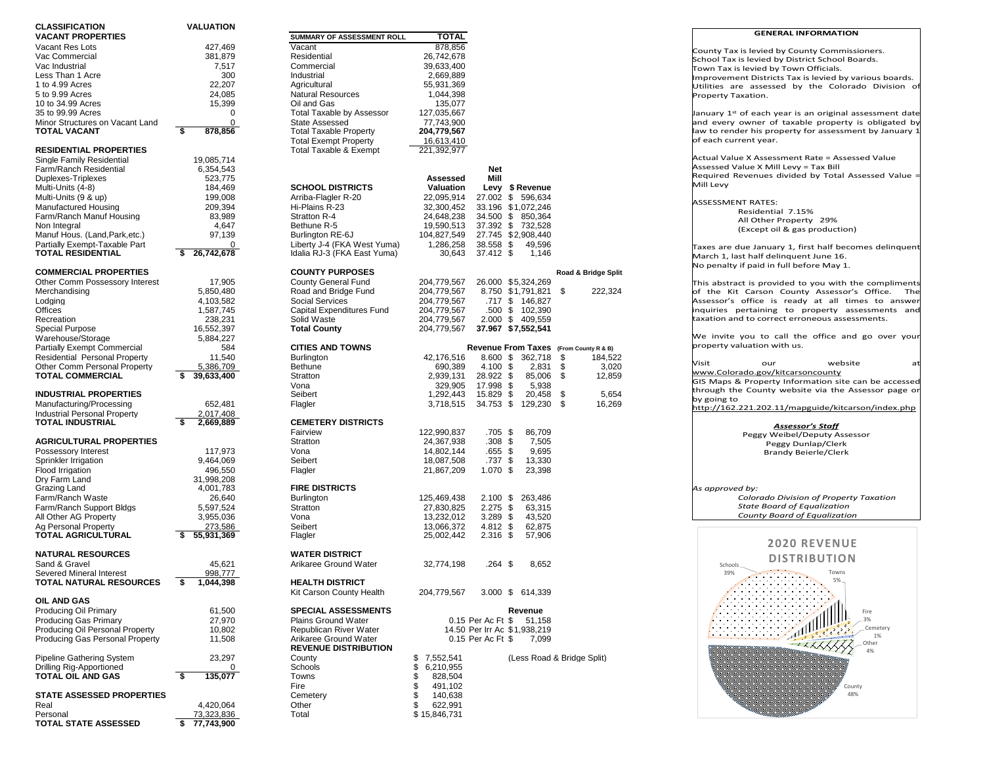| <b>CLASSIFICATION</b>                                     | <b>VALUATION</b>      |                                                            |                         |                                    |
|-----------------------------------------------------------|-----------------------|------------------------------------------------------------|-------------------------|------------------------------------|
| <b>VACANT PROPERTIES</b>                                  |                       | SUMMARY OF ASSESSMENT ROLL                                 | <b>TOTAL</b>            |                                    |
| Vacant Res Lots                                           | 427,469               | Vacant                                                     | 878,856                 |                                    |
| Vac Commercial                                            | 381,879               | Residential                                                | 26,742,678              |                                    |
| Vac Industrial                                            | 7,517                 | Commercial                                                 | 39,633,400              |                                    |
| Less Than 1 Acre<br>1 to 4.99 Acres                       | 300<br>22,207         | Industrial<br>Agricultural                                 | 2,669,889<br>55,931,369 |                                    |
| 5 to 9.99 Acres                                           | 24,085                | <b>Natural Resources</b>                                   | 1,044,398               |                                    |
| 10 to 34.99 Acres                                         | 15,399                | Oil and Gas                                                | 135,077                 |                                    |
| 35 to 99.99 Acres                                         | 0                     | <b>Total Taxable by Assessor</b>                           | 127,035,667             |                                    |
| Minor Structures on Vacant Land                           | $\mathbf 0$           | <b>State Assessed</b>                                      | 77,743,900              |                                    |
| <b>TOTAL VACANT</b>                                       | \$<br>878,856         | <b>Total Taxable Property</b>                              | 204,779,567             |                                    |
|                                                           |                       | <b>Total Exempt Property</b>                               | 16,613,410              |                                    |
| <b>RESIDENTIAL PROPERTIES</b>                             |                       | <b>Total Taxable &amp; Exempt</b>                          | 221,392,977             |                                    |
| Single Family Residential                                 | 19.085.714            |                                                            |                         |                                    |
| Farm/Ranch Residential                                    | 6,354,543             |                                                            |                         | Net                                |
| Duplexes-Triplexes                                        | 523,775               |                                                            | Assessed                | Mill                               |
| Multi-Units (4-8)                                         | 184,469               | <b>SCHOOL DISTRICTS</b>                                    | Valuation               | Levy                               |
| Multi-Units (9 & up)                                      | 199,008               | Arriba-Flagler R-20                                        | 22.095.914              | 27.002                             |
| Manufactured Housing                                      | 209,394               | Hi-Plains R-23                                             | 32,300,452              | 33.196                             |
| Farm/Ranch Manuf Housing                                  | 83,989                | Stratton R-4                                               | 24,648,238              | 34.500                             |
| Non Integral                                              | 4,647                 | Bethune R-5                                                | 19,590,513              | 37.392                             |
| Manuf Hous. (Land, Park, etc.)                            | 97,139                | Burlington RE-6J                                           | 104,827,549             | 27.745                             |
| Partially Exempt-Taxable Part<br><b>TOTAL RESIDENTIAL</b> | 0<br>26,742,678       | Liberty J-4 (FKA West Yuma)<br>Idalia RJ-3 (FKA East Yuma) | 1,286,258               | 38.558<br>37.412                   |
|                                                           |                       |                                                            | 30,643                  |                                    |
| <b>COMMERCIAL PROPERTIES</b>                              |                       | <b>COUNTY PURPOSES</b>                                     |                         |                                    |
| Other Comm Possessory Interest                            | 17,905                | <b>County General Fund</b>                                 | 204,779,567             | 26.000                             |
| Merchandising                                             | 5,850,480             | Road and Bridge Fund                                       | 204,779,567             | 8.750                              |
| Lodging                                                   | 4.103.582             | <b>Social Services</b>                                     | 204,779,567             | .717                               |
| Offices                                                   | 1,587,745             | Capital Expenditures Fund                                  | 204,779,567             | .500                               |
| Recreation                                                | 238,231               | Solid Waste                                                | 204,779,567             | 2.000                              |
| <b>Special Purpose</b>                                    | 16,552,397            | <b>Total County</b>                                        | 204,779,567             | 37.967                             |
| Warehouse/Storage                                         | 5.884.227             |                                                            |                         |                                    |
| <b>Partially Exempt Commercial</b>                        | 584                   | <b>CITIES AND TOWNS</b>                                    |                         | Revenue                            |
| <b>Residential Personal Property</b>                      | 11,540                | Burlington                                                 | 42.176.516              | 8.600                              |
| Other Comm Personal Property<br><b>TOTAL COMMERCIAL</b>   | 5,386,709             | <b>Bethune</b>                                             | 690,389                 | 4.100                              |
|                                                           | 39,633,400            | Stratton<br>Vona                                           | 2,939,131               | 28.922<br>17.998                   |
| <b>INDUSTRIAL PROPERTIES</b>                              |                       | Seibert                                                    | 329,905<br>1,292,443    | 15.829                             |
| Manufacturing/Processing                                  | 652,481               | Flagler                                                    | 3,718,515               | 34.753                             |
| <b>Industrial Personal Property</b>                       | 2,017,408             |                                                            |                         |                                    |
| <b>TOTAL INDUSTRIAL</b>                                   | 2,669,889             | <b>CEMETERY DISTRICTS</b>                                  |                         |                                    |
|                                                           |                       | Fairview                                                   | 122,990,837             | .705                               |
| <b>AGRICULTURAL PROPERTIES</b>                            |                       | Stratton                                                   | 24,367,938              | .308                               |
| Possessory Interest                                       | 117,973               | Vona                                                       | 14,802,144              | .655                               |
| Sprinkler Irrigation                                      | 9,464,069             | Seibert                                                    | 18,087,508              | .737                               |
| Flood Irrigation                                          | 496,550               | Flagler                                                    | 21,867,209              | 1.070                              |
| Dry Farm Land                                             | 31,998,208            |                                                            |                         |                                    |
| Grazing Land                                              | 4,001,783             | <b>FIRE DISTRICTS</b>                                      |                         |                                    |
| Farm/Ranch Waste                                          | 26,640                | Burlington                                                 | 125,469,438             | 2.100                              |
| Farm/Ranch Support Bldgs                                  | 5,597,524             | Stratton                                                   | 27,830,825              | 2.275                              |
| All Other AG Property                                     | 3,955,036             | Vona                                                       | 13,232,012              | 3.289                              |
| Ag Personal Property<br><b>TOTAL AGRICULTURAL</b>         | 273,586<br>55,931,369 | Seibert                                                    | 13,066,372              | 4.812<br>2.316                     |
|                                                           |                       | Flagler                                                    | 25,002,442              |                                    |
| <b>NATURAL RESOURCES</b>                                  |                       | <b>WATER DISTRICT</b>                                      |                         |                                    |
| Sand & Gravel                                             | 45,621                | Arikaree Ground Water                                      | 32,774,198              | .264                               |
| Severed Mineral Interest                                  | 998,777               |                                                            |                         |                                    |
| TOTAL NATURAL RESOURCES                                   | \$<br>1,044,398       | <b>HEALTH DISTRICT</b>                                     |                         |                                    |
|                                                           |                       | Kit Carson County Health                                   | 204,779,567             | 3.000                              |
| OIL AND GAS                                               |                       |                                                            |                         |                                    |
| Producing Oil Primary                                     | 61,500                | <b>SPECIAL ASSESSMENTS</b>                                 |                         |                                    |
| Producing Gas Primary<br>Producing Oil Personal Property  | 27,970                | <b>Plains Ground Water</b>                                 |                         | 0.15 Per Ac Ft                     |
| Producing Gas Personal Property                           | 10,802                | Republican River Water<br>Arikaree Ground Water            |                         | 14.50 Per Irr Ac<br>0.15 Per Ac Ft |
|                                                           | 11,508                | <b>REVENUE DISTRIBUTION</b>                                |                         |                                    |
| <b>Pipeline Gathering System</b>                          | 23,297                | County                                                     | 7,552,541<br>\$         |                                    |
| Drilling Rig-Apportioned                                  | 0                     | Schools                                                    | \$<br>6,210,955         |                                    |
| <b>TOTAL OIL AND GAS</b>                                  | \$<br>135,077         | Towns                                                      | \$<br>828,504           |                                    |
|                                                           |                       | Fire                                                       | \$<br>491,102           |                                    |
| <b>STATE ASSESSED PROPERTIES</b>                          |                       | Cemetery                                                   | \$<br>140,638           |                                    |
| Real                                                      | 4,420,064             | Other                                                      | \$<br>622,991           |                                    |
| Personal                                                  | 73,323,836            | Total                                                      | \$15,846,731            |                                    |
| <b>TOTAL STATE ASSESSED</b>                               | 77,743,900            |                                                            |                         |                                    |

| CLASSIFICATION                       | <b>VALUATION</b> |                                   |                 |                     |                              |                                        |
|--------------------------------------|------------------|-----------------------------------|-----------------|---------------------|------------------------------|----------------------------------------|
| VACANT PROPERTIES                    |                  | SUMMARY OF ASSESSMENT ROLL        | <b>TOTAL</b>    |                     |                              |                                        |
| Vacant Res Lots                      | 427,469          | Vacant                            | 878,856         |                     |                              |                                        |
| Vac Commercial                       | 381,879          | Residential                       | 26,742,678      |                     |                              |                                        |
| Vac Industrial                       | 7,517            | Commercial                        | 39,633,400      |                     |                              |                                        |
| Less Than 1 Acre                     | 300              | Industrial                        | 2,669,889       |                     |                              |                                        |
| 1 to 4.99 Acres                      | 22,207           | Agricultural                      | 55,931,369      |                     |                              |                                        |
| 5 to 9.99 Acres                      | 24.085           | <b>Natural Resources</b>          | 1,044,398       |                     |                              |                                        |
| 10 to 34.99 Acres                    | 15,399           | Oil and Gas                       | 135.077         |                     |                              |                                        |
| 35 to 99.99 Acres                    | 0                | <b>Total Taxable by Assessor</b>  | 127.035.667     |                     |                              |                                        |
| Minor Structures on Vacant Land      | 0                | <b>State Assessed</b>             | 77,743,900      |                     |                              |                                        |
| TOTAL VACANT                         | 878,856<br>\$    | <b>Total Taxable Property</b>     | 204,779,567     |                     |                              |                                        |
|                                      |                  | <b>Total Exempt Property</b>      | 16,613,410      |                     |                              |                                        |
| <b>RESIDENTIAL PROPERTIES</b>        |                  | <b>Total Taxable &amp; Exempt</b> | 221,392,977     |                     |                              |                                        |
| Single Family Residential            | 19,085,714       |                                   |                 |                     |                              |                                        |
| Farm/Ranch Residential               | 6,354,543        |                                   |                 | <b>Net</b>          |                              |                                        |
| Duplexes-Triplexes                   | 523,775          |                                   | Assessed        | Mill                |                              |                                        |
| Multi-Units (4-8)                    | 184,469          | <b>SCHOOL DISTRICTS</b>           | Valuation       |                     | Levy \$ Revenue              |                                        |
| Multi-Units (9 & up)                 | 199,008          | Arriba-Flagler R-20               | 22,095,914      |                     | 27.002 \$ 596,634            |                                        |
| Manufactured Housing                 | 209,394          | Hi-Plains R-23                    | 32,300,452      |                     | 33.196 \$1,072,246           |                                        |
| Farm/Ranch Manuf Housing             | 83,989           | Stratton R-4                      | 24,648,238      | 34.500              | \$ 850,364                   |                                        |
| Non Integral                         | 4,647            | Bethune R-5                       | 19,590,513      |                     | 37.392 \$ 732,528            |                                        |
| Manuf Hous. (Land,Park,etc.)         | 97,139           | Burlington RE-6J                  | 104,827,549     |                     | 27.745 \$2,908,440           |                                        |
| Partially Exempt-Taxable Part        | 0                | Liberty J-4 (FKA West Yuma)       | 1,286,258       | 38.558 \$           | 49,596                       |                                        |
| TOTAL RESIDENTIAL                    | 26,742,678       | Idalia RJ-3 (FKA East Yuma)       | 30,643          | 37.412 \$           | 1,146                        |                                        |
|                                      |                  |                                   |                 |                     |                              |                                        |
| <b>COMMERCIAL PROPERTIES</b>         |                  | <b>COUNTY PURPOSES</b>            |                 |                     |                              | Road & Bridge Split                    |
| Other Comm Possessory Interest       | 17,905           | <b>County General Fund</b>        | 204,779,567     |                     | 26.000 \$5,324,269           |                                        |
| Merchandising                        | 5,850,480        | Road and Bridge Fund              | 204,779,567     |                     | 8.750 \$1,791,821            | 222,324<br>\$                          |
| Lodging                              | 4,103,582        | <b>Social Services</b>            | 204,779,567     |                     | .717 \$ 146,827              |                                        |
| Offices                              | 1,587,745        | Capital Expenditures Fund         | 204,779,567     |                     | .500 \$ 102,390              |                                        |
| Recreation                           | 238,231          | Solid Waste                       | 204,779,567     |                     | 2.000 \$ 409,559             |                                        |
| Special Purpose                      | 16,552,397       | <b>Total County</b>               | 204,779,567     |                     | 37.967 \$7,552,541           |                                        |
| Warehouse/Storage                    | 5,884,227        |                                   |                 |                     |                              |                                        |
| Partially Exempt Commercial          | 584              | <b>CITIES AND TOWNS</b>           |                 |                     |                              | Revenue From Taxes (From County R & B) |
| <b>Residential Personal Property</b> | 11,540           | <b>Burlington</b>                 | 42,176,516      | $8.600 \text{ }$ \$ | 362,718                      | \$<br>184,522                          |
| Other Comm Personal Property         | 5,386,709        | <b>Bethune</b>                    | 690,389         | 4.100 \$            | 2,831                        | \$<br>3,020                            |
| <b>TOTAL COMMERCIAL</b>              | 39,633,400       | Stratton                          | 2,939,131       | 28.922 \$           | 85,006                       | 12,859<br>\$                           |
|                                      |                  | Vona                              | 329,905         | 17.998 \$           | 5,938                        |                                        |
| <b>INDUSTRIAL PROPERTIES</b>         |                  | Seibert                           | 1,292,443       | 15.829 \$           | 20,458                       | \$<br>5,654                            |
| Manufacturing/Processing             | 652,481          | Flagler                           | 3,718,515       | 34.753 \$           | 129,230                      | \$<br>16,269                           |
| <b>Industrial Personal Property</b>  | 2,017,408        |                                   |                 |                     |                              |                                        |
| TOTAL INDUSTRIAL                     | 2,669,889        | <b>CEMETERY DISTRICTS</b>         |                 |                     |                              |                                        |
|                                      |                  | Fairview                          | 122,990,837     | .705 \$             | 86,709                       |                                        |
| AGRICULTURAL PROPERTIES              |                  | Stratton                          | 24,367,938      | $.308$ \$           | 7,505                        |                                        |
| Possessory Interest                  | 117,973          | Vona                              | 14,802,144      | .655 \$             | 9,695                        |                                        |
| Sprinkler Irrigation                 | 9,464,069        | Seibert                           | 18,087,508      | .737 \$             | 13,330                       |                                        |
| <b>Flood Irrigation</b>              | 496,550          | Flagler                           | 21,867,209      | 1.070 \$            | 23,398                       |                                        |
| Dry Farm Land                        | 31,998,208       |                                   |                 |                     |                              |                                        |
| Grazing Land                         | 4,001,783        | <b>FIRE DISTRICTS</b>             |                 |                     |                              |                                        |
| Farm/Ranch Waste                     | 26,640           | <b>Burlington</b>                 | 125,469,438     | $2.100$ \$          | 263,486                      |                                        |
| Farm/Ranch Support Bldgs             | 5,597,524        | Stratton                          | 27,830,825      | $2.275$ \$          | 63,315                       |                                        |
| All Other AG Property                | 3,955,036        | Vona                              | 13,232,012      | $3.289$ \$          | 43,520                       |                                        |
| Ag Personal Property                 | 273,586          | Seibert                           | 13,066,372      | 4.812 \$            | 62,875                       |                                        |
| TOTAL AGRICULTURAL                   | 55,931,369       | Flagler                           | 25,002,442      | $2.316$ \$          | 57,906                       |                                        |
|                                      |                  |                                   |                 |                     |                              |                                        |
| <b>NATURAL RESOURCES</b>             |                  | <b>WATER DISTRICT</b>             |                 |                     |                              |                                        |
| Sand & Gravel                        | 45,621           | Arikaree Ground Water             | 32,774,198      | $.264$ \$           | 8,652                        |                                        |
| Severed Mineral Interest             | 998,777          |                                   |                 |                     |                              |                                        |
| <b>TOTAL NATURAL RESOURCES</b>       | 1,044,398        | <b>HEALTH DISTRICT</b>            |                 |                     |                              |                                        |
|                                      |                  | Kit Carson County Health          | 204,779,567     |                     | 3.000 \$ 614,339             |                                        |
| OIL AND GAS                          |                  |                                   |                 |                     |                              |                                        |
| Producing Oil Primary                | 61,500           | <b>SPECIAL ASSESSMENTS</b>        |                 |                     | Revenue                      |                                        |
| Producing Gas Primary                | 27,970           | <b>Plains Ground Water</b>        |                 | 0.15 Per Ac Ft \$   | 51,158                       |                                        |
| Producing Oil Personal Property      | 10,802           | <b>Republican River Water</b>     |                 |                     | 14.50 Per Irr Ac \$1,938,219 |                                        |
| Producing Gas Personal Property      | 11,508           | Arikaree Ground Water             |                 | 0.15 Per Ac Ft \$   | 7,099                        |                                        |
|                                      |                  | <b>REVENUE DISTRIBUTION</b>       |                 |                     |                              |                                        |
| Pipeline Gathering System            | 23,297           | County                            | \$7,552,541     |                     |                              | (Less Road & Bridge Split)             |
| Drilling Rig-Apportioned             | 0                | Schools                           | \$<br>6,210,955 |                     |                              |                                        |
| TOTAL OIL AND GAS                    | \$<br>135,077    | Towns                             | \$<br>828,504   |                     |                              |                                        |
|                                      |                  | Fire                              | \$<br>491,102   |                     |                              |                                        |
| <b>STATE ASSESSED PROPERTIES</b>     |                  | Cemetery                          | \$<br>140,638   |                     |                              |                                        |
| Real                                 | 4,420,064        | Other                             | \$<br>622,991   |                     |                              |                                        |
| Personal                             | 73.323.836       | Total                             | \$15,846,731    |                     |                              |                                        |

## Schools<br>39% Towns 5% Fire 3% Cemetery 1%  $Otha$ 4% **2020 REVENUE DISTRIBUTION GENERAL INFORMATION** County Tax is levied by County Commissioners. School Tax is levied by District School Boards. Town Tax is levied by Town Officials. Improvement Districts Tax is levied by various boards. Utilities are assessed by the Colorado Division of Property Taxation.  $\mu$ anuary 1st of each year is an original assessment date and every owner of taxable property is obligated by law to render his property for assessment by January 1 of each current year. Actual Value X Assessment Rate = Assessed Valu e Assessed Value X Mill Levy = Tax Bill Required Revenues divided by Total Assessed Value = Mill Levy ASSESSMENT RATES: Residential 7.15 % All Other Property 29% (Except oil & gas production) Taxes are due January 1, first half becomes delinquent March 1, last half delinquent June 16. No penalty if paid in full before May 1. This abstract is provided to you with the compliments of the Kit Carson County Assessor's Office. The Assessor's office is ready at all times to answer inquiries pertaining to property assessments and taxation and to correct erroneous assessments. We invite you to call the office and go over your property valuation with us. Visit our website at www.Colorado.gov/kitcarsoncounty GIS Maps & Property Information site can be accessed through the County website via the Assessor page or by going to http://162.221.202.11/mapguide/kitcarson/index.php *Assessor's Staff* Peggy Weibel/Deputy Assessor Peggy Dunlap/Clerk Brandy Beierle/Clerk *As approved by: Colorado Division of Property Taxation State Board of Equalization County Board of Equalization*

County 48%